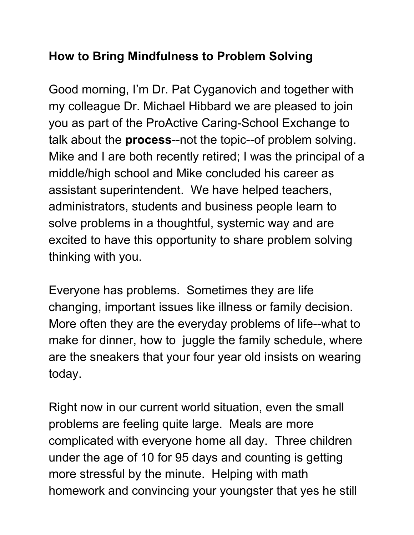## **How to Bring Mindfulness to Problem Solving**

Good morning, I'm Dr. Pat Cyganovich and together with my colleague Dr. Michael Hibbard we are pleased to join you as part of the ProActive Caring-School Exchange to talk about the **process**--not the topic--of problem solving. Mike and I are both recently retired; I was the principal of a middle/high school and Mike concluded his career as assistant superintendent. We have helped teachers, administrators, students and business people learn to solve problems in a thoughtful, systemic way and are excited to have this opportunity to share problem solving thinking with you.

Everyone has problems. Sometimes they are life changing, important issues like illness or family decision. More often they are the everyday problems of life--what to make for dinner, how to juggle the family schedule, where are the sneakers that your four year old insists on wearing today.

Right now in our current world situation, even the small problems are feeling quite large. Meals are more complicated with everyone home all day. Three children under the age of 10 for 95 days and counting is getting more stressful by the minute. Helping with math homework and convincing your youngster that yes he still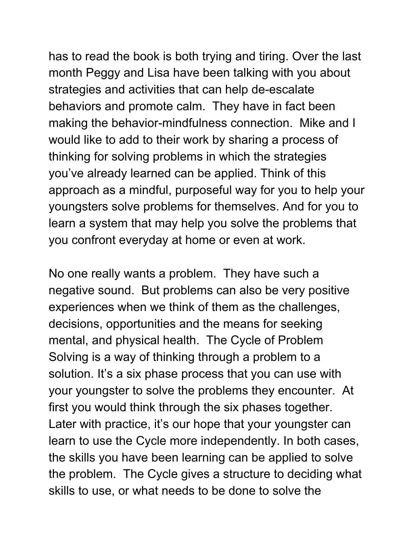has to read the book is both trying and tiring. Over the last month Peggy and Lisa have been talking with you about strategies and activities that can help de-escalate behaviors and promote calm. They have in fact been making the behavior-mindfulness connection. Mike and I would like to add to their work by sharing a process of thinking for solving problems in which the strategies you've already learned can be applied. Think of this approach as a mindful, purposeful way for you to help your youngsters solve problems for themselves. And for you to learn a system that may help you solve the problems that you confront everyday at home or even at work.

No one really wants a problem. They have such a negative sound. But problems can also be very positive experiences when we think of them as the challenges, decisions, opportunities and the means for seeking mental, and physical health. The Cycle of Problem Solving is a way of thinking through a problem to a solution. It's a six phase process that you can use with your youngster to solve the problems they encounter. At first you would think through the six phases together. Later with practice, it's our hope that your youngster can learn to use the Cycle more independently. In both cases, the skills you have been learning can be applied to solve the problem. The Cycle gives a structure to deciding what skills to use, or what needs to be done to solve the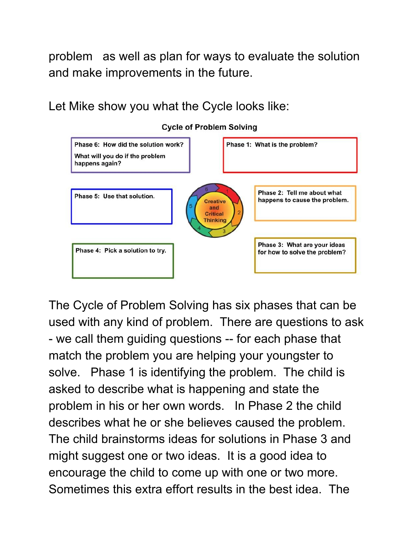problem as well as plan for ways to evaluate the solution and make improvements in the future.

Let Mike show you what the Cycle looks like:



**Cycle of Problem Solving** 

The Cycle of Problem Solving has six phases that can be used with any kind of problem. There are questions to ask - we call them guiding questions -- for each phase that match the problem you are helping your youngster to solve. Phase 1 is identifying the problem. The child is asked to describe what is happening and state the problem in his or her own words. In Phase 2 the child describes what he or she believes caused the problem. The child brainstorms ideas for solutions in Phase 3 and might suggest one or two ideas. It is a good idea to encourage the child to come up with one or two more. Sometimes this extra effort results in the best idea. The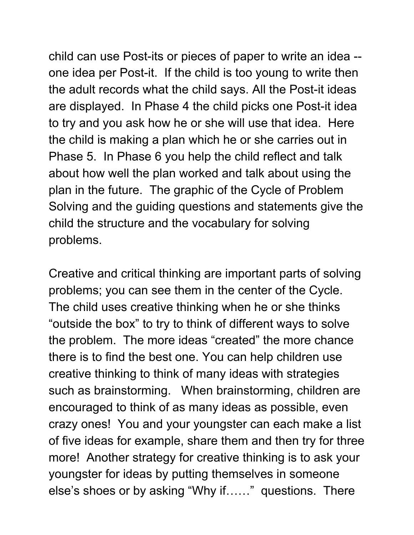child can use Post-its or pieces of paper to write an idea - one idea per Post-it. If the child is too young to write then the adult records what the child says. All the Post-it ideas are displayed. In Phase 4 the child picks one Post-it idea to try and you ask how he or she will use that idea. Here the child is making a plan which he or she carries out in Phase 5. In Phase 6 you help the child reflect and talk about how well the plan worked and talk about using the plan in the future. The graphic of the Cycle of Problem Solving and the guiding questions and statements give the child the structure and the vocabulary for solving problems.

Creative and critical thinking are important parts of solving problems; you can see them in the center of the Cycle. The child uses creative thinking when he or she thinks "outside the box" to try to think of different ways to solve the problem. The more ideas "created" the more chance there is to find the best one. You can help children use creative thinking to think of many ideas with strategies such as brainstorming. When brainstorming, children are encouraged to think of as many ideas as possible, even crazy ones! You and your youngster can each make a list of five ideas for example, share them and then try for three more! Another strategy for creative thinking is to ask your youngster for ideas by putting themselves in someone else's shoes or by asking "Why if……" questions. There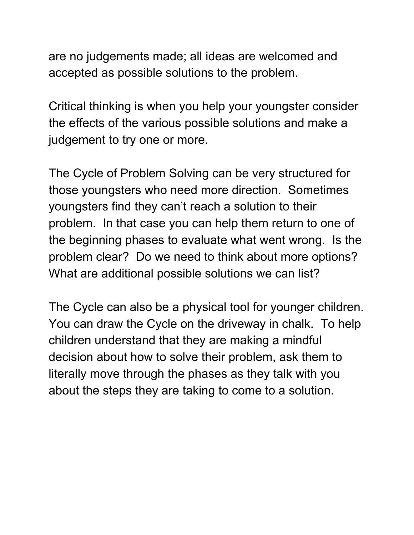are no judgements made; all ideas are welcomed and accepted as possible solutions to the problem.

Critical thinking is when you help your youngster consider the effects of the various possible solutions and make a judgement to try one or more.

The Cycle of Problem Solving can be very structured for those youngsters who need more direction. Sometimes youngsters find they can't reach a solution to their problem. In that case you can help them return to one of the beginning phases to evaluate what went wrong. Is the problem clear? Do we need to think about more options? What are additional possible solutions we can list?

The Cycle can also be a physical tool for younger children. You can draw the Cycle on the driveway in chalk. To help children understand that they are making a mindful decision about how to solve their problem, ask them to literally move through the phases as they talk with you about the steps they are taking to come to a solution.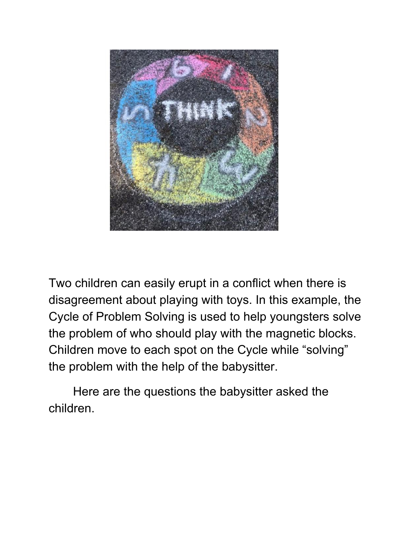

Two children can easily erupt in a conflict when there is disagreement about playing with toys. In this example, the Cycle of Problem Solving is used to help youngsters solve the problem of who should play with the magnetic blocks. Children move to each spot on the Cycle while "solving" the problem with the help of the babysitter.

Here are the questions the babysitter asked the children.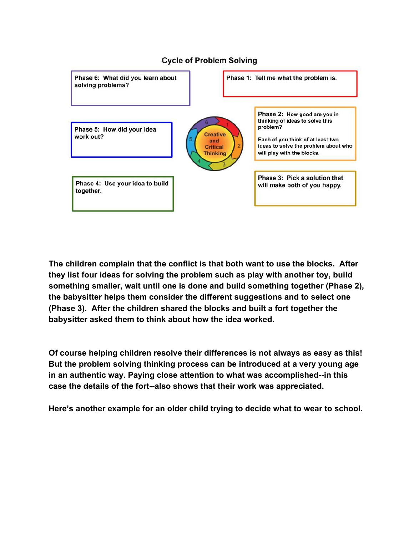

**The children complain that the conflict is that both want to use the blocks. After they list four ideas for solving the problem such as play with another toy, build something smaller, wait until one is done and build something together (Phase 2), the babysitter helps them consider the different suggestions and to select one (Phase 3). After the children shared the blocks and built a fort together the babysitter asked them to think about how the idea worked.**

**Of course helping children resolve their differences is not always as easy as this! But the problem solving thinking process can be introduced at a very young age in an authentic way. Paying close attention to what was accomplished--in this case the details of the fort--also shows that their work was appreciated.**

**Here's another example for an older child trying to decide what to wear to school.**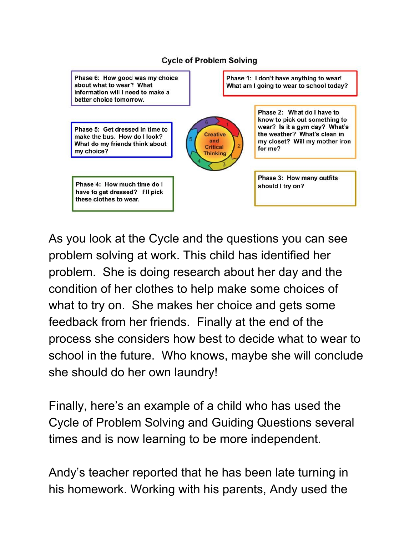

## As you look at the Cycle and the questions you can see problem solving at work. This child has identified her problem. She is doing research about her day and the condition of her clothes to help make some choices of what to try on. She makes her choice and gets some feedback from her friends. Finally at the end of the process she considers how best to decide what to wear to school in the future. Who knows, maybe she will conclude she should do her own laundry!

Finally, here's an example of a child who has used the Cycle of Problem Solving and Guiding Questions several times and is now learning to be more independent.

Andy's teacher reported that he has been late turning in his homework. Working with his parents, Andy used the

## **Cycle of Problem Solving**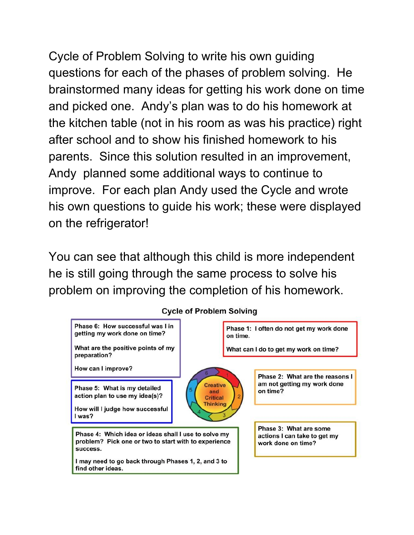Cycle of Problem Solving to write his own guiding questions for each of the phases of problem solving. He brainstormed many ideas for getting his work done on time and picked one. Andy's plan was to do his homework at the kitchen table (not in his room as was his practice) right after school and to show his finished homework to his parents. Since this solution resulted in an improvement, Andy planned some additional ways to continue to improve. For each plan Andy used the Cycle and wrote his own questions to guide his work; these were displayed on the refrigerator!

You can see that although this child is more independent he is still going through the same process to solve his problem on improving the completion of his homework.



**Cycle of Problem Solving**